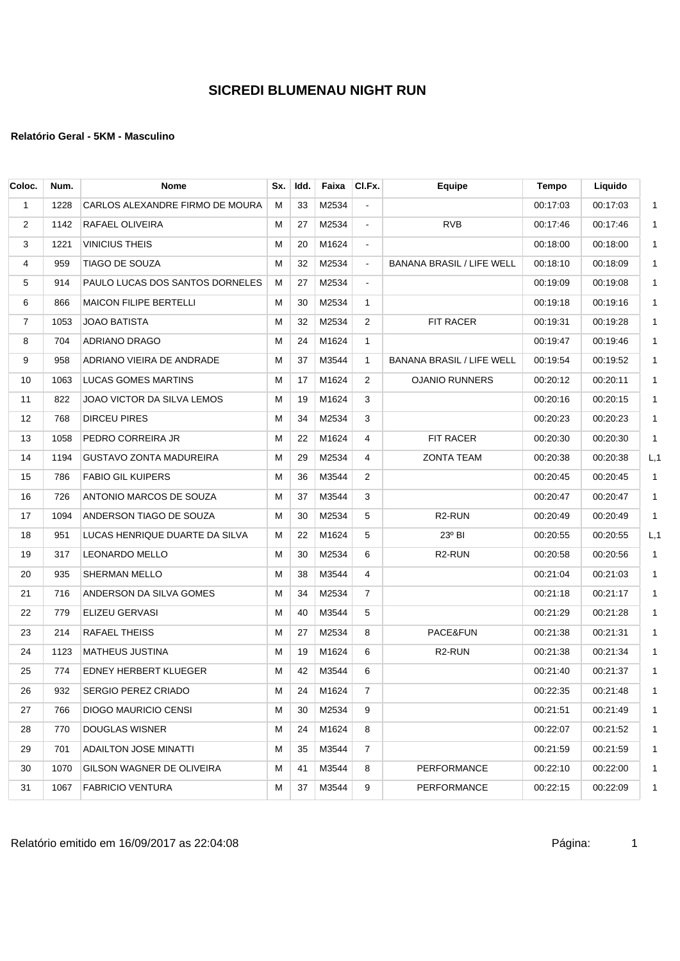| Coloc.         | Num. | <b>Nome</b>                     | Sx. | Idd. | Faixa    | CI.Fx.         | <b>Equipe</b>                    | Tempo    | Liquido  |              |
|----------------|------|---------------------------------|-----|------|----------|----------------|----------------------------------|----------|----------|--------------|
| $\mathbf{1}$   | 1228 | CARLOS ALEXANDRE FIRMO DE MOURA | м   | 33   | M2534    | $\blacksquare$ |                                  | 00:17:03 | 00:17:03 | $\mathbf{1}$ |
| 2              | 1142 | RAFAEL OLIVEIRA                 | М   | 27   | M2534    | $\blacksquare$ | <b>RVB</b>                       | 00:17:46 | 00:17:46 | $\mathbf{1}$ |
| 3              | 1221 | <b>VINICIUS THEIS</b>           | М   | 20   | M1624    | $\blacksquare$ |                                  | 00:18:00 | 00:18:00 | $\mathbf{1}$ |
| 4              | 959  | <b>TIAGO DE SOUZA</b>           | м   | 32   | M2534    | $\blacksquare$ | <b>BANANA BRASIL / LIFE WELL</b> | 00:18:10 | 00:18:09 | $\mathbf{1}$ |
| 5              | 914  | PAULO LUCAS DOS SANTOS DORNELES | м   | 27   | M2534    | $\blacksquare$ |                                  | 00:19:09 | 00:19:08 | $\mathbf{1}$ |
| 6              | 866  | <b>MAICON FILIPE BERTELLI</b>   | М   | 30   | M2534    | $\mathbf{1}$   |                                  | 00:19:18 | 00:19:16 | $\mathbf{1}$ |
| $\overline{7}$ | 1053 | <b>JOAO BATISTA</b>             | М   | 32   | M2534    | $\overline{2}$ | FIT RACER                        | 00:19:31 | 00:19:28 | $\mathbf{1}$ |
| 8              | 704  | ADRIANO DRAGO                   | М   | 24   | M1624    | $\mathbf{1}$   |                                  | 00:19:47 | 00:19:46 | $\mathbf{1}$ |
| 9              | 958  | ADRIANO VIEIRA DE ANDRADE       | М   | 37   | M3544    | $\mathbf{1}$   | <b>BANANA BRASIL / LIFE WELL</b> | 00:19:54 | 00:19:52 | $\mathbf{1}$ |
| 10             | 1063 | <b>LUCAS GOMES MARTINS</b>      | М   | 17   | M1624    | 2              | <b>OJANIO RUNNERS</b>            | 00:20:12 | 00:20:11 | $\mathbf{1}$ |
| 11             | 822  | JOAO VICTOR DA SILVA LEMOS      | м   | 19   | M1624    | 3              |                                  | 00:20:16 | 00:20:15 | $\mathbf{1}$ |
| 12             | 768  | DIRCEU PIRES                    | М   | 34   | M2534    | 3              |                                  | 00:20:23 | 00:20:23 | $\mathbf{1}$ |
| 13             | 1058 | PEDRO CORREIRA JR               | М   | 22   | M1624    | $\overline{4}$ | FIT RACER                        | 00:20:30 | 00:20:30 | $\mathbf{1}$ |
| 14             | 1194 | GUSTAVO ZONTA MADUREIRA         | м   | 29   | M2534    | 4              | <b>ZONTA TEAM</b>                | 00:20:38 | 00:20:38 | L, 1         |
| 15             | 786  | <b>FABIO GIL KUIPERS</b>        | М   | 36   | M3544    | $\overline{2}$ |                                  | 00:20:45 | 00:20:45 | $\mathbf{1}$ |
| 16             | 726  | ANTONIO MARCOS DE SOUZA         | М   | 37   | M3544    | 3              |                                  | 00:20:47 | 00:20:47 | $\mathbf{1}$ |
| 17             | 1094 | ANDERSON TIAGO DE SOUZA         | М   | 30   | M2534    | 5              | R <sub>2</sub> -RUN              | 00:20:49 | 00:20:49 | $\mathbf 1$  |
| 18             | 951  | LUCAS HENRIQUE DUARTE DA SILVA  | М   | 22   | M1624    | 5              | 23° BI                           | 00:20:55 | 00:20:55 | L, 1         |
| 19             | 317  | <b>LEONARDO MELLO</b>           | М   | 30   | M2534    | 6              | R <sub>2</sub> -RUN              | 00:20:58 | 00:20:56 | $\mathbf{1}$ |
| 20             | 935  | SHERMAN MELLO                   | М   | 38   | M3544    | $\overline{4}$ |                                  | 00:21:04 | 00:21:03 | $\mathbf{1}$ |
| 21             | 716  | ANDERSON DA SILVA GOMES         | М   | 34   | M2534    | $\overline{7}$ |                                  | 00:21:18 | 00:21:17 | $\mathbf{1}$ |
| 22             | 779  | ELIZEU GERVASI                  | М   | 40   | M3544    | 5              |                                  | 00:21:29 | 00:21:28 | $\mathbf{1}$ |
| 23             | 214  | <b>RAFAEL THEISS</b>            | М   | 27   | M2534    | 8              | PACE&FUN                         | 00:21:38 | 00:21:31 | $\mathbf{1}$ |
| 24             | 1123 | MATHEUS JUSTINA                 | М   | 19   | M1624    | 6              | R <sub>2</sub> -RUN              | 00:21:38 | 00:21:34 | $\mathbf{1}$ |
| 25             | 774  | EDNEY HERBERT KLUEGER           | м   | 42   | M3544    | 6              |                                  | 00:21:40 | 00:21:37 | $\mathbf{1}$ |
| 26             | 932  | SERGIO PEREZ CRIADO             | M   |      | 24 M1624 | $\overline{7}$ |                                  | 00:22:35 | 00:21:48 | $\mathbf{1}$ |
| 27             | 766  | <b>DIOGO MAURICIO CENSI</b>     | М   | 30   | M2534    | 9              |                                  | 00:21:51 | 00:21:49 | $\mathbf 1$  |
| 28             | 770  | DOUGLAS WISNER                  | M   | 24   | M1624    | 8              |                                  | 00:22:07 | 00:21:52 | $\mathbf{1}$ |
| 29             | 701  | <b>ADAILTON JOSE MINATTI</b>    | M   | 35   | M3544    | 7              |                                  | 00:21:59 | 00:21:59 | $\mathbf{1}$ |
| 30             | 1070 | GILSON WAGNER DE OLIVEIRA       | М   | 41   | M3544    | 8              | <b>PERFORMANCE</b>               | 00:22:10 | 00:22:00 | $\mathbf 1$  |
| 31             | 1067 | <b>FABRICIO VENTURA</b>         | м   | 37   | M3544    | 9              | PERFORMANCE                      | 00:22:15 | 00:22:09 | $\mathbf{1}$ |
|                |      |                                 |     |      |          |                |                                  |          |          |              |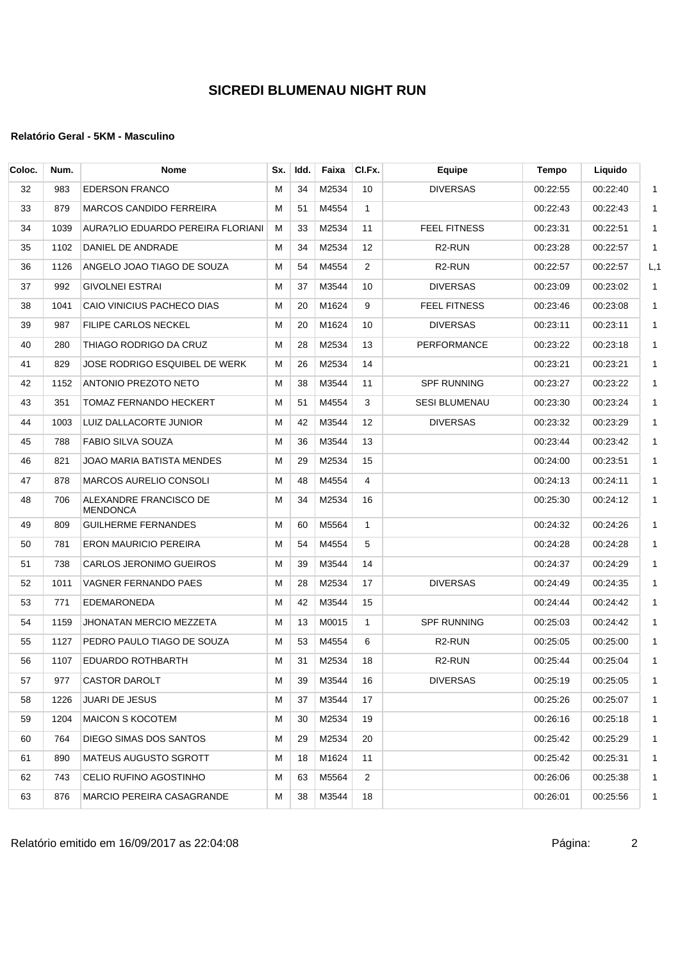## **Relatório Geral - 5KM - Masculino**

| Coloc. | Num. | <b>Nome</b>                        | Sx. | Idd. | Faixa | CI.Fx.         | Equipe               | Tempo    | Liquido  |              |
|--------|------|------------------------------------|-----|------|-------|----------------|----------------------|----------|----------|--------------|
| 32     | 983  | <b>EDERSON FRANCO</b>              | М   | 34   | M2534 | 10             | <b>DIVERSAS</b>      | 00:22:55 | 00:22:40 | $\mathbf{1}$ |
| 33     | 879  | <b>MARCOS CANDIDO FERREIRA</b>     | м   | 51   | M4554 | $\mathbf{1}$   |                      | 00:22:43 | 00:22:43 | $\mathbf{1}$ |
| 34     | 1039 | AURA?LIO EDUARDO PEREIRA FLORIANI  | м   | 33   | M2534 | 11             | <b>FEEL FITNESS</b>  | 00:23:31 | 00:22:51 | $\mathbf{1}$ |
| 35     | 1102 | DANIEL DE ANDRADE                  | М   | 34   | M2534 | 12             | R <sub>2</sub> -RUN  | 00:23:28 | 00:22:57 | $\mathbf 1$  |
| 36     | 1126 | ANGELO JOAO TIAGO DE SOUZA         | м   | 54   | M4554 | $\overline{2}$ | R <sub>2</sub> -RUN  | 00:22:57 | 00:22:57 | L, 1         |
| 37     | 992  | <b>GIVOLNEI ESTRAI</b>             | м   | 37   | M3544 | 10             | <b>DIVERSAS</b>      | 00:23:09 | 00:23:02 | $\mathbf 1$  |
| 38     | 1041 | CAIO VINICIUS PACHECO DIAS         | м   | 20   | M1624 | 9              | <b>FEEL FITNESS</b>  | 00:23:46 | 00:23:08 | $\mathbf{1}$ |
| 39     | 987  | <b>FILIPE CARLOS NECKEL</b>        | м   | 20   | M1624 | 10             | <b>DIVERSAS</b>      | 00:23:11 | 00:23:11 | $\mathbf{1}$ |
| 40     | 280  | THIAGO RODRIGO DA CRUZ             | м   | 28   | M2534 | 13             | <b>PERFORMANCE</b>   | 00:23:22 | 00:23:18 | $\mathbf{1}$ |
| 41     | 829  | JOSE RODRIGO ESQUIBEL DE WERK      | м   | 26   | M2534 | 14             |                      | 00:23:21 | 00:23:21 | $\mathbf{1}$ |
| 42     | 1152 | ANTONIO PREZOTO NETO               | М   | 38   | M3544 | 11             | <b>SPF RUNNING</b>   | 00:23:27 | 00:23:22 | $\mathbf{1}$ |
| 43     | 351  | TOMAZ FERNANDO HECKERT             | м   | 51   | M4554 | 3              | <b>SESI BLUMENAU</b> | 00:23:30 | 00:23:24 | $\mathbf{1}$ |
| 44     | 1003 | LUIZ DALLACORTE JUNIOR             | м   | 42   | M3544 | 12             | <b>DIVERSAS</b>      | 00:23:32 | 00:23:29 | $\mathbf{1}$ |
| 45     | 788  | FABIO SILVA SOUZA                  | м   | 36   | M3544 | 13             |                      | 00:23:44 | 00:23:42 | $\mathbf{1}$ |
| 46     | 821  | JOAO MARIA BATISTA MENDES          | м   | 29   | M2534 | 15             |                      | 00:24:00 | 00:23:51 | $\mathbf{1}$ |
| 47     | 878  | <b>MARCOS AURELIO CONSOLI</b>      | м   | 48   | M4554 | 4              |                      | 00:24:13 | 00:24:11 | $\mathbf{1}$ |
| 48     | 706  | ALEXANDRE FRANCISCO DE<br>MENDONCA | М   | 34   | M2534 | 16             |                      | 00:25:30 | 00:24:12 | $\mathbf 1$  |
| 49     | 809  | <b>GUILHERME FERNANDES</b>         | м   | 60   | M5564 | $\mathbf{1}$   |                      | 00:24:32 | 00:24:26 | $\mathbf{1}$ |
| 50     | 781  | ERON MAURICIO PEREIRA              | м   | 54   | M4554 | 5              |                      | 00:24:28 | 00:24:28 | $\mathbf{1}$ |
| 51     | 738  | CARLOS JERONIMO GUEIROS            | м   | 39   | M3544 | 14             |                      | 00:24:37 | 00:24:29 | $\mathbf 1$  |
| 52     | 1011 | VAGNER FERNANDO PAES               | м   | 28   | M2534 | 17             | <b>DIVERSAS</b>      | 00:24:49 | 00:24:35 | $\mathbf{1}$ |
| 53     | 771  | EDEMARONEDA                        | М   | 42   | M3544 | 15             |                      | 00:24:44 | 00:24:42 | $\mathbf{1}$ |
| 54     | 1159 | JHONATAN MERCIO MEZZETA            | м   | 13   | M0015 | $\mathbf{1}$   | <b>SPF RUNNING</b>   | 00:25:03 | 00:24:42 | $\mathbf{1}$ |
| 55     | 1127 | PEDRO PAULO TIAGO DE SOUZA         | м   | 53   | M4554 | 6              | R <sub>2</sub> -RUN  | 00:25:05 | 00:25:00 | $\mathbf{1}$ |
| 56     | 1107 | EDUARDO ROTHBARTH                  | м   | 31   | M2534 | 18             | R <sub>2</sub> -RUN  | 00:25:44 | 00.25:04 | $\mathbf{1}$ |
| 57     | 977  | CASTOR DAROLT                      | М   | 39   | M3544 | 16             | <b>DIVERSAS</b>      | 00:25:19 | 00:25:05 | 1            |
| 58     | 1226 | JUARI DE JESUS                     | М   | 37   | M3544 | 17             |                      | 00:25:26 | 00:25:07 | $\mathbf{1}$ |
| 59     | 1204 | <b>MAICON S KOCOTEM</b>            | M   | 30   | M2534 | 19             |                      | 00:26:16 | 00:25:18 | $\mathbf{1}$ |
| 60     | 764  | DIEGO SIMAS DOS SANTOS             | М   | 29   | M2534 | 20             |                      | 00:25:42 | 00:25:29 | 1            |
| 61     | 890  | <b>MATEUS AUGUSTO SGROTT</b>       | м   | 18   | M1624 | 11             |                      | 00:25:42 | 00:25:31 | $\mathbf{1}$ |
| 62     | 743  | CELIO RUFINO AGOSTINHO             | м   | 63   | M5564 | $\overline{2}$ |                      | 00:26:06 | 00:25:38 | $\mathbf 1$  |
| 63     | 876  | MARCIO PEREIRA CASAGRANDE          | м   | 38   | M3544 | 18             |                      | 00:26:01 | 00:25:56 | $\mathbf{1}$ |
|        |      |                                    |     |      |       |                |                      |          |          |              |

Relatório emitido em 16/09/2017 as 22:04:08 Página: 2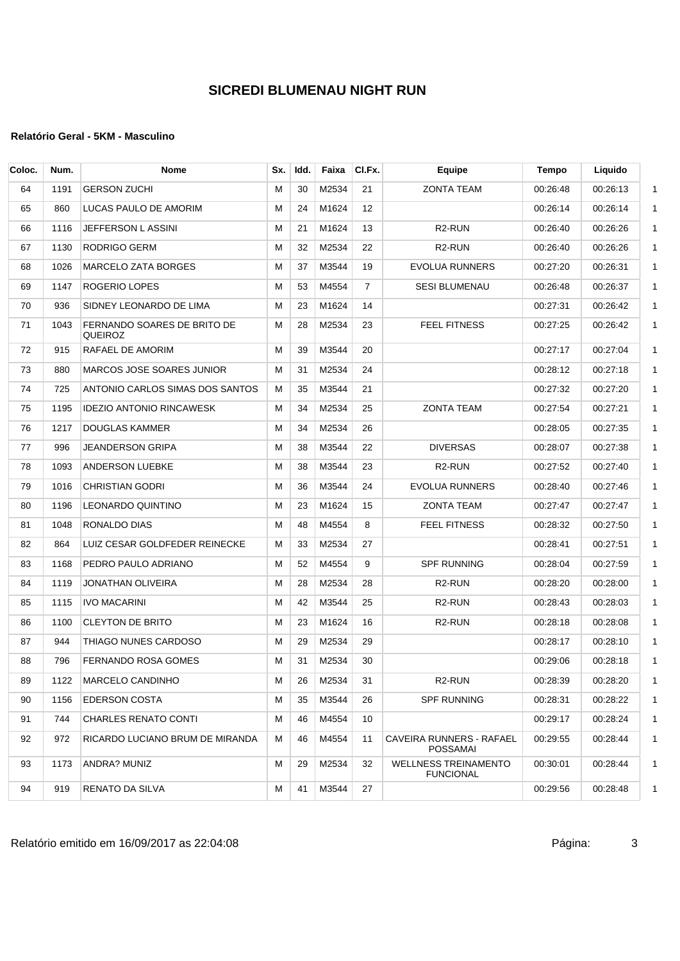| Coloc. | Num. | <b>Nome</b>                            | Sx. | Idd. | Faixa | CI.Fx.          | Equipe                                          | Tempo    | Liquido  |
|--------|------|----------------------------------------|-----|------|-------|-----------------|-------------------------------------------------|----------|----------|
| 64     | 1191 | <b>GERSON ZUCHI</b>                    | м   | 30   | M2534 | 21              | <b>ZONTA TEAM</b>                               | 00:26:48 | 00:26:13 |
| 65     | 860  | LUCAS PAULO DE AMORIM                  | м   | 24   | M1624 | 12 <sup>2</sup> |                                                 | 00:26:14 | 00:26:14 |
| 66     | 1116 | JEFFERSON LASSINI                      | м   | 21   | M1624 | 13              | R <sub>2</sub> -RUN                             | 00:26:40 | 00:26:26 |
| 67     | 1130 | RODRIGO GERM                           | м   | 32   | M2534 | 22              | R <sub>2</sub> -RUN                             | 00:26:40 | 00:26:26 |
| 68     | 1026 | MARCELO ZATA BORGES                    | М   | 37   | M3544 | 19              | <b>EVOLUA RUNNERS</b>                           | 00:27:20 | 00:26:31 |
| 69     | 1147 | ROGERIO LOPES                          | М   | 53   | M4554 | $\overline{7}$  | <b>SESI BLUMENAU</b>                            | 00:26:48 | 00:26:37 |
| 70     | 936  | SIDNEY LEONARDO DE LIMA                | м   | 23   | M1624 | 14              |                                                 | 00:27:31 | 00:26:42 |
| 71     | 1043 | FERNANDO SOARES DE BRITO DE<br>QUEIROZ | М   | 28   | M2534 | 23              | <b>FEEL FITNESS</b>                             | 00:27:25 | 00:26:42 |
| 72     | 915  | RAFAEL DE AMORIM                       | м   | 39   | M3544 | 20              |                                                 | 00:27:17 | 00:27:04 |
| 73     | 880  | <b>MARCOS JOSE SOARES JUNIOR</b>       | М   | 31   | M2534 | 24              |                                                 | 00:28:12 | 00:27:18 |
| 74     | 725  | ANTONIO CARLOS SIMAS DOS SANTOS        | м   | 35   | M3544 | 21              |                                                 | 00:27:32 | 00:27:20 |
| 75     | 1195 | <b>IDEZIO ANTONIO RINCAWESK</b>        | м   | 34   | M2534 | 25              | <b>ZONTA TEAM</b>                               | 00:27:54 | 00:27:21 |
| 76     | 1217 | <b>DOUGLAS KAMMER</b>                  | М   | 34   | M2534 | 26              |                                                 | 00:28:05 | 00:27:35 |
| 77     | 996  | <b>JEANDERSON GRIPA</b>                | м   | 38   | M3544 | 22              | <b>DIVERSAS</b>                                 | 00:28:07 | 00:27:38 |
| 78     | 1093 | <b>ANDERSON LUEBKE</b>                 | м   | 38   | M3544 | 23              | R <sub>2</sub> -RUN                             | 00:27:52 | 00:27:40 |
| 79     | 1016 | <b>CHRISTIAN GODRI</b>                 | М   | 36   | M3544 | 24              | <b>EVOLUA RUNNERS</b>                           | 00:28:40 | 00:27:46 |
| 80     | 1196 | <b>LEONARDO QUINTINO</b>               | М   | 23   | M1624 | 15              | <b>ZONTA TEAM</b>                               | 00:27:47 | 00:27:47 |
| 81     | 1048 | RONALDO DIAS                           | М   | 48   | M4554 | 8               | FEEL FITNESS                                    | 00:28:32 | 00:27:50 |
| 82     | 864  | LUIZ CESAR GOLDFEDER REINECKE          | м   | 33   | M2534 | 27              |                                                 | 00:28:41 | 00:27:51 |
| 83     | 1168 | PEDRO PAULO ADRIANO                    | м   | 52   | M4554 | 9               | <b>SPF RUNNING</b>                              | 00:28:04 | 00:27:59 |
| 84     | 1119 | JONATHAN OLIVEIRA                      | м   | 28   | M2534 | 28              | R <sub>2</sub> -RUN                             | 00:28:20 | 00:28:00 |
| 85     | 1115 | <b>IVO MACARINI</b>                    | М   | 42   | M3544 | 25              | R <sub>2</sub> -RUN                             | 00:28:43 | 00:28:03 |
| 86     | 1100 | <b>CLEYTON DE BRITO</b>                | М   | 23   | M1624 | 16              | R <sub>2</sub> -RUN                             | 00:28:18 | 00:28:08 |
| 87     | 944  | THIAGO NUNES CARDOSO                   | М   | 29   | M2534 | 29              |                                                 | 00:28:17 | 00:28:10 |
| 88     | 796  | FERNANDO ROSA GOMES                    | м   | 31   | M2534 | 30              |                                                 | 00:29:06 | 00:28:18 |
| 89     | 1122 | MARCELO CANDINHO                       | М   | 26   | M2534 | 31              | R <sub>2</sub> -RUN                             | 00:28:39 | 00:28:20 |
| 90     | 1156 | <b>EDERSON COSTA</b>                   | м   | 35   | M3544 | 26              | <b>SPF RUNNING</b>                              | 00:28:31 | 00:28:22 |
| 91     | 744  | <b>CHARLES RENATO CONTI</b>            | М   | 46   | M4554 | 10              |                                                 | 00:29:17 | 00:28:24 |
| 92     | 972  | RICARDO LUCIANO BRUM DE MIRANDA        | м   | 46   | M4554 | 11              | CAVEIRA RUNNERS - RAFAEL<br><b>POSSAMAI</b>     | 00:29:55 | 00:28:44 |
| 93     | 1173 | ANDRA? MUNIZ                           | м   | 29   | M2534 | 32              | <b>WELLNESS TREINAMENTO</b><br><b>FUNCIONAL</b> | 00:30:01 | 00:28:44 |
| 94     | 919  | RENATO DA SILVA                        | М   | 41   | M3544 | 27              |                                                 | 00:29:56 | 00:28:48 |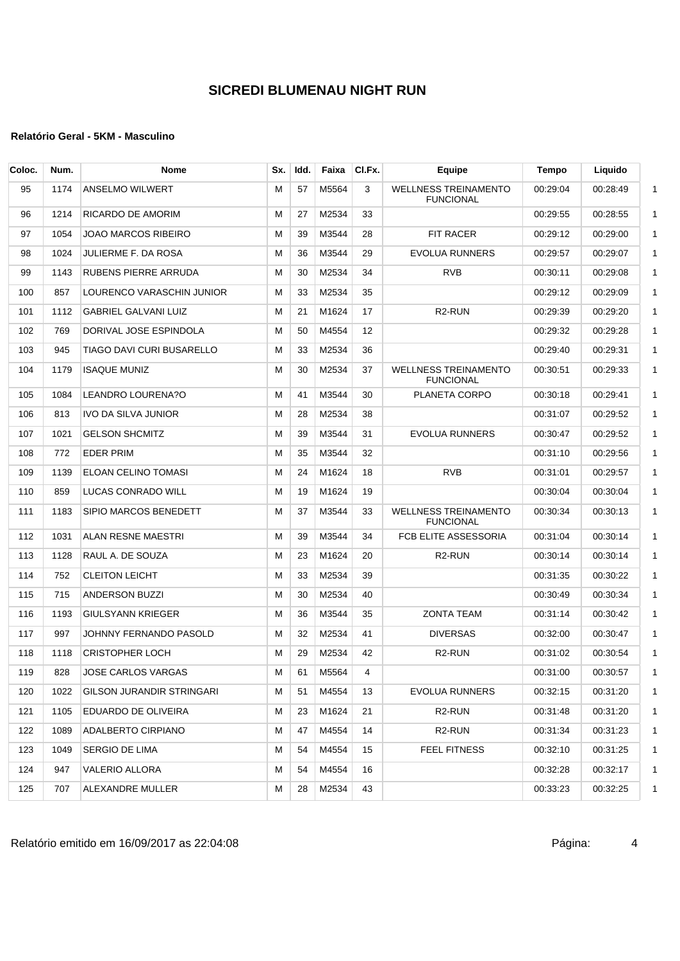| 95<br>1174<br>57<br>M5564<br>3<br><b>WELLNESS TREINAMENTO</b><br>ANSELMO WILWERT<br>м<br>00:29:04<br><b>FUNCIONAL</b><br>33<br>1214<br>RICARDO DE AMORIM<br>м<br>27<br>M2534<br>96<br>00:29:55<br>97<br>1054<br>JOAO MARCOS RIBEIRO<br>39<br>M3544<br><b>FIT RACER</b><br>м<br>28<br>00:29:12<br>M3544<br>98<br>1024<br>JULIERME F. DA ROSA<br>м<br>36<br>29<br><b>EVOLUA RUNNERS</b><br>00:29:57<br>30<br>M2534<br><b>RVB</b><br>99<br>1143<br>RUBENS PIERRE ARRUDA<br>м<br>34<br>00:30:11<br>857<br>LOURENCO VARASCHIN JUNIOR<br>M2534<br>100<br>м<br>33<br>35<br>00:29:12<br>101<br>1112<br>GABRIEL GALVANI LUIZ<br>21<br>M1624<br>17<br>R <sub>2</sub> -RUN<br>00:29:39<br>м<br>102<br>769<br>DORIVAL JOSE ESPINDOLA<br>50<br>M4554<br>12<br>м<br>00:29:32<br>945<br>TIAGO DAVI CURI BUSARELLO<br>33<br>M2534<br>103<br>м<br>36<br>00:29:40<br><b>WELLNESS TREINAMENTO</b><br>104<br>1179<br><b>ISAQUE MUNIZ</b><br>М<br>30<br>M2534<br>37<br>00:30:51<br><b>FUNCIONAL</b><br>105<br>1084<br>LEANDRO LOURENA?O<br>м<br>41<br>M3544<br>30<br>PLANETA CORPO<br>00:30:18<br>813<br><b>IVO DA SILVA JUNIOR</b><br>28<br>M2534<br>38<br>106<br>м<br>00:31:07<br>1021<br><b>GELSON SHCMITZ</b><br>39<br>M3544<br>31<br><b>EVOLUA RUNNERS</b><br>107<br>м<br>00:30:47<br>108<br>772<br><b>EDER PRIM</b><br>35<br>M3544<br>32<br>м<br>00:31:10<br><b>RVB</b><br>109<br>1139<br>ELOAN CELINO TOMASI<br>м<br>24<br>M1624<br>18<br>00:31:01<br>859<br>LUCAS CONRADO WILL<br>110<br>19<br>M1624<br>00:30:04<br>м<br>19<br>111<br>1183<br>SIPIO MARCOS BENEDETT<br>м<br>37<br>M3544<br>33<br><b>WELLNESS TREINAMENTO</b><br>00:30:34<br><b>FUNCIONAL</b><br>1031<br>ALAN RESNE MAESTRI<br>39<br>M3544<br>FCB ELITE ASSESSORIA<br>112<br>м<br>34<br>00:31:04<br>113<br>1128<br>RAUL A. DE SOUZA<br>23<br>M1624<br>R <sub>2</sub> -RUN<br>м<br>20<br>00:30:14<br>114<br>752<br><b>CLEITON LEICHT</b><br>М<br>33<br>M2534<br>39<br>00:31:35<br>715<br>ANDERSON BUZZI<br>м<br>30<br>M2534<br>00:30:49<br>115<br>40<br>116<br>1193<br><b>GIULSYANN KRIEGER</b><br>36<br>M3544<br>35<br><b>ZONTA TEAM</b><br>00:31:14<br>м<br>997<br>JOHNNY FERNANDO PASOLD<br>32<br>M2534<br><b>DIVERSAS</b><br>117<br>м<br>41<br>00:32:00<br>29<br>M2534<br>1118<br><b>CRISTOPHER LOCH</b><br>42<br>R <sub>2</sub> -RUN<br>118<br>м<br>00:31:02<br>M<br>61<br>M5564<br>119<br>828<br>JOSE CARLOS VARGAS<br>00:31:00<br>4 | Coloc. | Num. | <b>Nome</b>               | Sx. | Idd. | Faixa | CI.Fx. | Equipe         | <b>Tempo</b> | Liquido  |              |
|---------------------------------------------------------------------------------------------------------------------------------------------------------------------------------------------------------------------------------------------------------------------------------------------------------------------------------------------------------------------------------------------------------------------------------------------------------------------------------------------------------------------------------------------------------------------------------------------------------------------------------------------------------------------------------------------------------------------------------------------------------------------------------------------------------------------------------------------------------------------------------------------------------------------------------------------------------------------------------------------------------------------------------------------------------------------------------------------------------------------------------------------------------------------------------------------------------------------------------------------------------------------------------------------------------------------------------------------------------------------------------------------------------------------------------------------------------------------------------------------------------------------------------------------------------------------------------------------------------------------------------------------------------------------------------------------------------------------------------------------------------------------------------------------------------------------------------------------------------------------------------------------------------------------------------------------------------------------------------------------------------------------------------------------------------------------------------------------------------------------------------------------------------------------------------------------------------------------------------------------------------------------------------------------------------------------------------------------------------------------------------------------|--------|------|---------------------------|-----|------|-------|--------|----------------|--------------|----------|--------------|
|                                                                                                                                                                                                                                                                                                                                                                                                                                                                                                                                                                                                                                                                                                                                                                                                                                                                                                                                                                                                                                                                                                                                                                                                                                                                                                                                                                                                                                                                                                                                                                                                                                                                                                                                                                                                                                                                                                                                                                                                                                                                                                                                                                                                                                                                                                                                                                                             |        |      |                           |     |      |       |        |                |              | 00:28:49 |              |
|                                                                                                                                                                                                                                                                                                                                                                                                                                                                                                                                                                                                                                                                                                                                                                                                                                                                                                                                                                                                                                                                                                                                                                                                                                                                                                                                                                                                                                                                                                                                                                                                                                                                                                                                                                                                                                                                                                                                                                                                                                                                                                                                                                                                                                                                                                                                                                                             |        |      |                           |     |      |       |        |                |              | 00:28:55 | $\mathbf{1}$ |
|                                                                                                                                                                                                                                                                                                                                                                                                                                                                                                                                                                                                                                                                                                                                                                                                                                                                                                                                                                                                                                                                                                                                                                                                                                                                                                                                                                                                                                                                                                                                                                                                                                                                                                                                                                                                                                                                                                                                                                                                                                                                                                                                                                                                                                                                                                                                                                                             |        |      |                           |     |      |       |        |                |              | 00:29:00 | $\mathbf 1$  |
|                                                                                                                                                                                                                                                                                                                                                                                                                                                                                                                                                                                                                                                                                                                                                                                                                                                                                                                                                                                                                                                                                                                                                                                                                                                                                                                                                                                                                                                                                                                                                                                                                                                                                                                                                                                                                                                                                                                                                                                                                                                                                                                                                                                                                                                                                                                                                                                             |        |      |                           |     |      |       |        |                |              | 00:29:07 |              |
|                                                                                                                                                                                                                                                                                                                                                                                                                                                                                                                                                                                                                                                                                                                                                                                                                                                                                                                                                                                                                                                                                                                                                                                                                                                                                                                                                                                                                                                                                                                                                                                                                                                                                                                                                                                                                                                                                                                                                                                                                                                                                                                                                                                                                                                                                                                                                                                             |        |      |                           |     |      |       |        |                |              | 00:29:08 |              |
|                                                                                                                                                                                                                                                                                                                                                                                                                                                                                                                                                                                                                                                                                                                                                                                                                                                                                                                                                                                                                                                                                                                                                                                                                                                                                                                                                                                                                                                                                                                                                                                                                                                                                                                                                                                                                                                                                                                                                                                                                                                                                                                                                                                                                                                                                                                                                                                             |        |      |                           |     |      |       |        |                |              | 00:29:09 |              |
|                                                                                                                                                                                                                                                                                                                                                                                                                                                                                                                                                                                                                                                                                                                                                                                                                                                                                                                                                                                                                                                                                                                                                                                                                                                                                                                                                                                                                                                                                                                                                                                                                                                                                                                                                                                                                                                                                                                                                                                                                                                                                                                                                                                                                                                                                                                                                                                             |        |      |                           |     |      |       |        |                |              | 00:29:20 |              |
|                                                                                                                                                                                                                                                                                                                                                                                                                                                                                                                                                                                                                                                                                                                                                                                                                                                                                                                                                                                                                                                                                                                                                                                                                                                                                                                                                                                                                                                                                                                                                                                                                                                                                                                                                                                                                                                                                                                                                                                                                                                                                                                                                                                                                                                                                                                                                                                             |        |      |                           |     |      |       |        |                |              | 00:29:28 |              |
|                                                                                                                                                                                                                                                                                                                                                                                                                                                                                                                                                                                                                                                                                                                                                                                                                                                                                                                                                                                                                                                                                                                                                                                                                                                                                                                                                                                                                                                                                                                                                                                                                                                                                                                                                                                                                                                                                                                                                                                                                                                                                                                                                                                                                                                                                                                                                                                             |        |      |                           |     |      |       |        |                |              | 00:29:31 | $\mathbf{1}$ |
|                                                                                                                                                                                                                                                                                                                                                                                                                                                                                                                                                                                                                                                                                                                                                                                                                                                                                                                                                                                                                                                                                                                                                                                                                                                                                                                                                                                                                                                                                                                                                                                                                                                                                                                                                                                                                                                                                                                                                                                                                                                                                                                                                                                                                                                                                                                                                                                             |        |      |                           |     |      |       |        |                |              | 00:29:33 |              |
|                                                                                                                                                                                                                                                                                                                                                                                                                                                                                                                                                                                                                                                                                                                                                                                                                                                                                                                                                                                                                                                                                                                                                                                                                                                                                                                                                                                                                                                                                                                                                                                                                                                                                                                                                                                                                                                                                                                                                                                                                                                                                                                                                                                                                                                                                                                                                                                             |        |      |                           |     |      |       |        |                |              | 00:29:41 |              |
|                                                                                                                                                                                                                                                                                                                                                                                                                                                                                                                                                                                                                                                                                                                                                                                                                                                                                                                                                                                                                                                                                                                                                                                                                                                                                                                                                                                                                                                                                                                                                                                                                                                                                                                                                                                                                                                                                                                                                                                                                                                                                                                                                                                                                                                                                                                                                                                             |        |      |                           |     |      |       |        |                |              | 00:29:52 |              |
|                                                                                                                                                                                                                                                                                                                                                                                                                                                                                                                                                                                                                                                                                                                                                                                                                                                                                                                                                                                                                                                                                                                                                                                                                                                                                                                                                                                                                                                                                                                                                                                                                                                                                                                                                                                                                                                                                                                                                                                                                                                                                                                                                                                                                                                                                                                                                                                             |        |      |                           |     |      |       |        |                |              | 00:29:52 |              |
|                                                                                                                                                                                                                                                                                                                                                                                                                                                                                                                                                                                                                                                                                                                                                                                                                                                                                                                                                                                                                                                                                                                                                                                                                                                                                                                                                                                                                                                                                                                                                                                                                                                                                                                                                                                                                                                                                                                                                                                                                                                                                                                                                                                                                                                                                                                                                                                             |        |      |                           |     |      |       |        |                |              | 00:29:56 |              |
|                                                                                                                                                                                                                                                                                                                                                                                                                                                                                                                                                                                                                                                                                                                                                                                                                                                                                                                                                                                                                                                                                                                                                                                                                                                                                                                                                                                                                                                                                                                                                                                                                                                                                                                                                                                                                                                                                                                                                                                                                                                                                                                                                                                                                                                                                                                                                                                             |        |      |                           |     |      |       |        |                |              | 00:29:57 |              |
|                                                                                                                                                                                                                                                                                                                                                                                                                                                                                                                                                                                                                                                                                                                                                                                                                                                                                                                                                                                                                                                                                                                                                                                                                                                                                                                                                                                                                                                                                                                                                                                                                                                                                                                                                                                                                                                                                                                                                                                                                                                                                                                                                                                                                                                                                                                                                                                             |        |      |                           |     |      |       |        |                |              | 00:30:04 |              |
|                                                                                                                                                                                                                                                                                                                                                                                                                                                                                                                                                                                                                                                                                                                                                                                                                                                                                                                                                                                                                                                                                                                                                                                                                                                                                                                                                                                                                                                                                                                                                                                                                                                                                                                                                                                                                                                                                                                                                                                                                                                                                                                                                                                                                                                                                                                                                                                             |        |      |                           |     |      |       |        |                |              | 00:30:13 |              |
|                                                                                                                                                                                                                                                                                                                                                                                                                                                                                                                                                                                                                                                                                                                                                                                                                                                                                                                                                                                                                                                                                                                                                                                                                                                                                                                                                                                                                                                                                                                                                                                                                                                                                                                                                                                                                                                                                                                                                                                                                                                                                                                                                                                                                                                                                                                                                                                             |        |      |                           |     |      |       |        |                |              | 00:30:14 | $\mathbf{1}$ |
|                                                                                                                                                                                                                                                                                                                                                                                                                                                                                                                                                                                                                                                                                                                                                                                                                                                                                                                                                                                                                                                                                                                                                                                                                                                                                                                                                                                                                                                                                                                                                                                                                                                                                                                                                                                                                                                                                                                                                                                                                                                                                                                                                                                                                                                                                                                                                                                             |        |      |                           |     |      |       |        |                |              | 00:30:14 |              |
|                                                                                                                                                                                                                                                                                                                                                                                                                                                                                                                                                                                                                                                                                                                                                                                                                                                                                                                                                                                                                                                                                                                                                                                                                                                                                                                                                                                                                                                                                                                                                                                                                                                                                                                                                                                                                                                                                                                                                                                                                                                                                                                                                                                                                                                                                                                                                                                             |        |      |                           |     |      |       |        |                |              | 00:30:22 |              |
|                                                                                                                                                                                                                                                                                                                                                                                                                                                                                                                                                                                                                                                                                                                                                                                                                                                                                                                                                                                                                                                                                                                                                                                                                                                                                                                                                                                                                                                                                                                                                                                                                                                                                                                                                                                                                                                                                                                                                                                                                                                                                                                                                                                                                                                                                                                                                                                             |        |      |                           |     |      |       |        |                |              | 00:30:34 |              |
|                                                                                                                                                                                                                                                                                                                                                                                                                                                                                                                                                                                                                                                                                                                                                                                                                                                                                                                                                                                                                                                                                                                                                                                                                                                                                                                                                                                                                                                                                                                                                                                                                                                                                                                                                                                                                                                                                                                                                                                                                                                                                                                                                                                                                                                                                                                                                                                             |        |      |                           |     |      |       |        |                |              | 00:30:42 |              |
|                                                                                                                                                                                                                                                                                                                                                                                                                                                                                                                                                                                                                                                                                                                                                                                                                                                                                                                                                                                                                                                                                                                                                                                                                                                                                                                                                                                                                                                                                                                                                                                                                                                                                                                                                                                                                                                                                                                                                                                                                                                                                                                                                                                                                                                                                                                                                                                             |        |      |                           |     |      |       |        |                |              | 00:30:47 |              |
|                                                                                                                                                                                                                                                                                                                                                                                                                                                                                                                                                                                                                                                                                                                                                                                                                                                                                                                                                                                                                                                                                                                                                                                                                                                                                                                                                                                                                                                                                                                                                                                                                                                                                                                                                                                                                                                                                                                                                                                                                                                                                                                                                                                                                                                                                                                                                                                             |        |      |                           |     |      |       |        |                |              | 00:30:54 |              |
|                                                                                                                                                                                                                                                                                                                                                                                                                                                                                                                                                                                                                                                                                                                                                                                                                                                                                                                                                                                                                                                                                                                                                                                                                                                                                                                                                                                                                                                                                                                                                                                                                                                                                                                                                                                                                                                                                                                                                                                                                                                                                                                                                                                                                                                                                                                                                                                             |        |      |                           |     |      |       |        |                |              | 00:30:57 |              |
|                                                                                                                                                                                                                                                                                                                                                                                                                                                                                                                                                                                                                                                                                                                                                                                                                                                                                                                                                                                                                                                                                                                                                                                                                                                                                                                                                                                                                                                                                                                                                                                                                                                                                                                                                                                                                                                                                                                                                                                                                                                                                                                                                                                                                                                                                                                                                                                             | 120    | 1022 | GILSON JURANDIR STRINGARI | м   | 51   | M4554 | 13     | EVOLUA RUNNERS | 00:32:15     | 00:31:20 |              |
| M1624<br>121<br>1105<br>EDUARDO DE OLIVEIRA<br>м<br>23<br>21<br>R <sub>2</sub> -RUN<br>00:31:48                                                                                                                                                                                                                                                                                                                                                                                                                                                                                                                                                                                                                                                                                                                                                                                                                                                                                                                                                                                                                                                                                                                                                                                                                                                                                                                                                                                                                                                                                                                                                                                                                                                                                                                                                                                                                                                                                                                                                                                                                                                                                                                                                                                                                                                                                             |        |      |                           |     |      |       |        |                |              | 00:31:20 |              |
| 122<br>ADALBERTO CIRPIANO<br>M4554<br>R <sub>2</sub> -RUN<br>00:31:34<br>1089<br>м<br>47<br>14                                                                                                                                                                                                                                                                                                                                                                                                                                                                                                                                                                                                                                                                                                                                                                                                                                                                                                                                                                                                                                                                                                                                                                                                                                                                                                                                                                                                                                                                                                                                                                                                                                                                                                                                                                                                                                                                                                                                                                                                                                                                                                                                                                                                                                                                                              |        |      |                           |     |      |       |        |                |              | 00:31:23 |              |
| M4554<br>FEEL FITNESS<br>123<br>1049<br>SERGIO DE LIMA<br>м<br>15<br>00:32:10<br>54                                                                                                                                                                                                                                                                                                                                                                                                                                                                                                                                                                                                                                                                                                                                                                                                                                                                                                                                                                                                                                                                                                                                                                                                                                                                                                                                                                                                                                                                                                                                                                                                                                                                                                                                                                                                                                                                                                                                                                                                                                                                                                                                                                                                                                                                                                         |        |      |                           |     |      |       |        |                |              | 00:31:25 |              |
| M4554<br>124<br>947<br>VALERIO ALLORA<br>м<br>54<br>16<br>00:32:28                                                                                                                                                                                                                                                                                                                                                                                                                                                                                                                                                                                                                                                                                                                                                                                                                                                                                                                                                                                                                                                                                                                                                                                                                                                                                                                                                                                                                                                                                                                                                                                                                                                                                                                                                                                                                                                                                                                                                                                                                                                                                                                                                                                                                                                                                                                          |        |      |                           |     |      |       |        |                |              | 00:32:17 |              |
| ALEXANDRE MULLER<br>M2534<br>125<br>707<br>м<br>28<br>43<br>00:33:23                                                                                                                                                                                                                                                                                                                                                                                                                                                                                                                                                                                                                                                                                                                                                                                                                                                                                                                                                                                                                                                                                                                                                                                                                                                                                                                                                                                                                                                                                                                                                                                                                                                                                                                                                                                                                                                                                                                                                                                                                                                                                                                                                                                                                                                                                                                        |        |      |                           |     |      |       |        |                |              | 00:32:25 |              |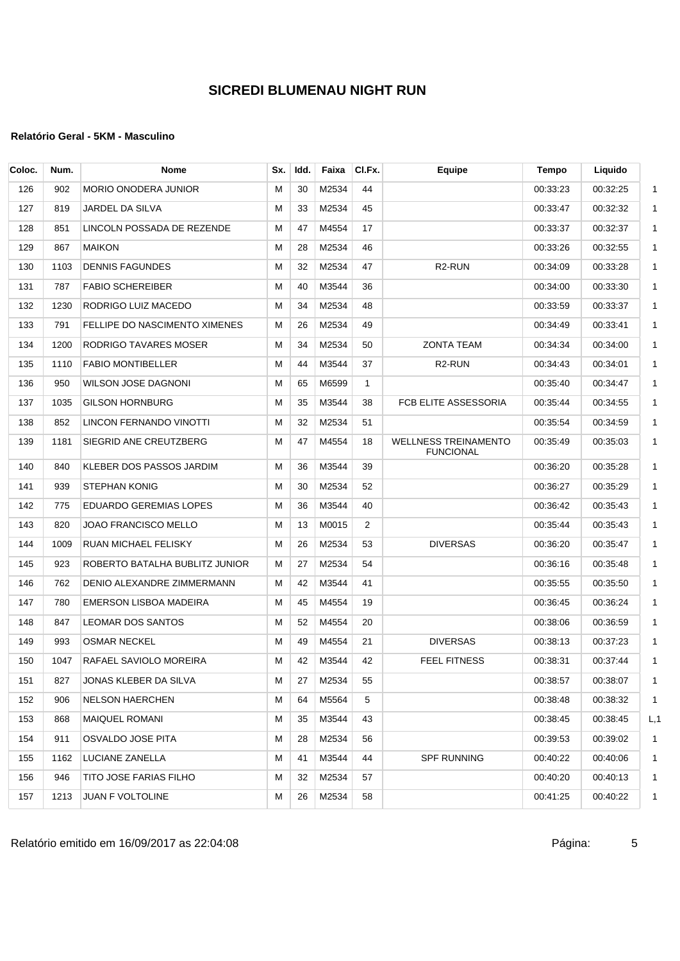## **Relatório Geral - 5KM - Masculino**

| Coloc. | Num. | <b>Nome</b>                    | Sx. | Idd. | Faixa | CI.Fx.         | Equipe                                          | <b>Tempo</b> | Liquido  |              |
|--------|------|--------------------------------|-----|------|-------|----------------|-------------------------------------------------|--------------|----------|--------------|
| 126    | 902  | <b>MORIO ONODERA JUNIOR</b>    | м   | 30   | M2534 | 44             |                                                 | 00:33:23     | 00:32:25 | $\mathbf{1}$ |
| 127    | 819  | JARDEL DA SILVA                | М   | 33   | M2534 | 45             |                                                 | 00:33:47     | 00:32:32 | $\mathbf{1}$ |
| 128    | 851  | LINCOLN POSSADA DE REZENDE     | м   | 47   | M4554 | 17             |                                                 | 00:33:37     | 00:32:37 | $\mathbf{1}$ |
| 129    | 867  | <b>MAIKON</b>                  | м   | 28   | M2534 | 46             |                                                 | 00:33:26     | 00:32:55 | $\mathbf{1}$ |
| 130    | 1103 | <b>DENNIS FAGUNDES</b>         | М   | 32   | M2534 | 47             | R <sub>2</sub> -RUN                             | 00:34:09     | 00:33:28 | $\mathbf{1}$ |
| 131    | 787  | <b>FABIO SCHEREIBER</b>        | М   | 40   | M3544 | 36             |                                                 | 00:34:00     | 00:33:30 | $\mathbf 1$  |
| 132    | 1230 | RODRIGO LUIZ MACEDO            | м   | 34   | M2534 | 48             |                                                 | 00:33:59     | 00:33:37 | $\mathbf{1}$ |
| 133    | 791  | FELLIPE DO NASCIMENTO XIMENES  | М   | 26   | M2534 | 49             |                                                 | 00:34:49     | 00:33:41 | $\mathbf{1}$ |
| 134    | 1200 | RODRIGO TAVARES MOSER          | м   | 34   | M2534 | 50             | <b>ZONTA TEAM</b>                               | 00:34:34     | 00:34:00 | $\mathbf 1$  |
| 135    | 1110 | <b>FABIO MONTIBELLER</b>       | м   | 44   | M3544 | 37             | R <sub>2</sub> -RUN                             | 00:34:43     | 00:34:01 | $\mathbf{1}$ |
| 136    | 950  | WILSON JOSE DAGNONI            | М   | 65   | M6599 | $\mathbf{1}$   |                                                 | 00:35:40     | 00:34:47 | $\mathbf{1}$ |
| 137    | 1035 | <b>GILSON HORNBURG</b>         | М   | 35   | M3544 | 38             | FCB ELITE ASSESSORIA                            | 00:35:44     | 00:34:55 | $\mathbf{1}$ |
| 138    | 852  | LINCON FERNANDO VINOTTI        | м   | 32   | M2534 | 51             |                                                 | 00:35:54     | 00:34:59 | $\mathbf{1}$ |
| 139    | 1181 | SIEGRID ANE CREUTZBERG         | М   | 47   | M4554 | 18             | <b>WELLNESS TREINAMENTO</b><br><b>FUNCIONAL</b> | 00:35:49     | 00:35:03 | $\mathbf{1}$ |
| 140    | 840  | KLEBER DOS PASSOS JARDIM       | м   | 36   | M3544 | 39             |                                                 | 00:36:20     | 00:35:28 | $\mathbf{1}$ |
| 141    | 939  | STEPHAN KONIG                  | М   | 30   | M2534 | 52             |                                                 | 00:36:27     | 00:35:29 | $\mathbf{1}$ |
| 142    | 775  | EDUARDO GEREMIAS LOPES         | М   | 36   | M3544 | 40             |                                                 | 00:36:42     | 00:35:43 | $\mathbf 1$  |
| 143    | 820  | JOAO FRANCISCO MELLO           | м   | 13   | M0015 | $\overline{2}$ |                                                 | 00:35:44     | 00:35:43 | $\mathbf{1}$ |
| 144    | 1009 | RUAN MICHAEL FELISKY           | м   | 26   | M2534 | 53             | <b>DIVERSAS</b>                                 | 00:36:20     | 00:35:47 | $\mathbf{1}$ |
| 145    | 923  | ROBERTO BATALHA BUBLITZ JUNIOR | м   | 27   | M2534 | 54             |                                                 | 00:36:16     | 00:35:48 | $\mathbf 1$  |
| 146    | 762  | DENIO ALEXANDRE ZIMMERMANN     | м   | 42   | M3544 | 41             |                                                 | 00:35:55     | 00:35:50 | $\mathbf{1}$ |
| 147    | 780  | EMERSON LISBOA MADEIRA         | М   | 45   | M4554 | 19             |                                                 | 00:36:45     | 00:36:24 | $\mathbf 1$  |
| 148    | 847  | LEOMAR DOS SANTOS              | м   | 52   | M4554 | 20             |                                                 | 00:38:06     | 00:36:59 | $\mathbf{1}$ |
| 149    | 993  | OSMAR NECKEL                   | м   | 49   | M4554 | 21             | <b>DIVERSAS</b>                                 | 00:38:13     | 00:37:23 | $\mathbf{1}$ |
| 150    | 1047 | RAFAEL SAVIOLO MOREIRA         | м   | 42   | M3544 | 42             | <b>FEEL FITNESS</b>                             | 00:38:31     | 00:37:44 | $\mathbf{1}$ |
| 151    | 827  | JONAS KLEBER DA SILVA          | м   | 27   | M2534 | 55             |                                                 | 00:38:57     | 00:38:07 | 1            |
| 152    | 906  | NELSON HAERCHEN                | м   | 64   | M5564 | 5              |                                                 | 00:38:48     | 00:38:32 | $\mathbf{1}$ |
| 153    | 868  | MAIQUEL ROMANI                 | Μ   | 35   | M3544 | 43             |                                                 | 00:38:45     | 00:38:45 | L, 1         |
| 154    | 911  | OSVALDO JOSE PITA              | М   | 28   | M2534 | 56             |                                                 | 00:39:53     | 00:39:02 | 1            |
| 155    | 1162 | LUCIANE ZANELLA                | М   | 41   | M3544 | 44             | <b>SPF RUNNING</b>                              | 00:40:22     | 00:40:06 | $\mathbf{1}$ |
| 156    | 946  | TITO JOSE FARIAS FILHO         | м   | 32   | M2534 | 57             |                                                 | 00:40:20     | 00:40:13 | $\mathbf{1}$ |
| 157    | 1213 | JUAN F VOLTOLINE               | М   | 26   | M2534 | 58             |                                                 | 00:41:25     | 00:40:22 | $\mathbf{1}$ |
|        |      |                                |     |      |       |                |                                                 |              |          |              |

Relatório emitido em 16/09/2017 as 22:04:08 Página: 5